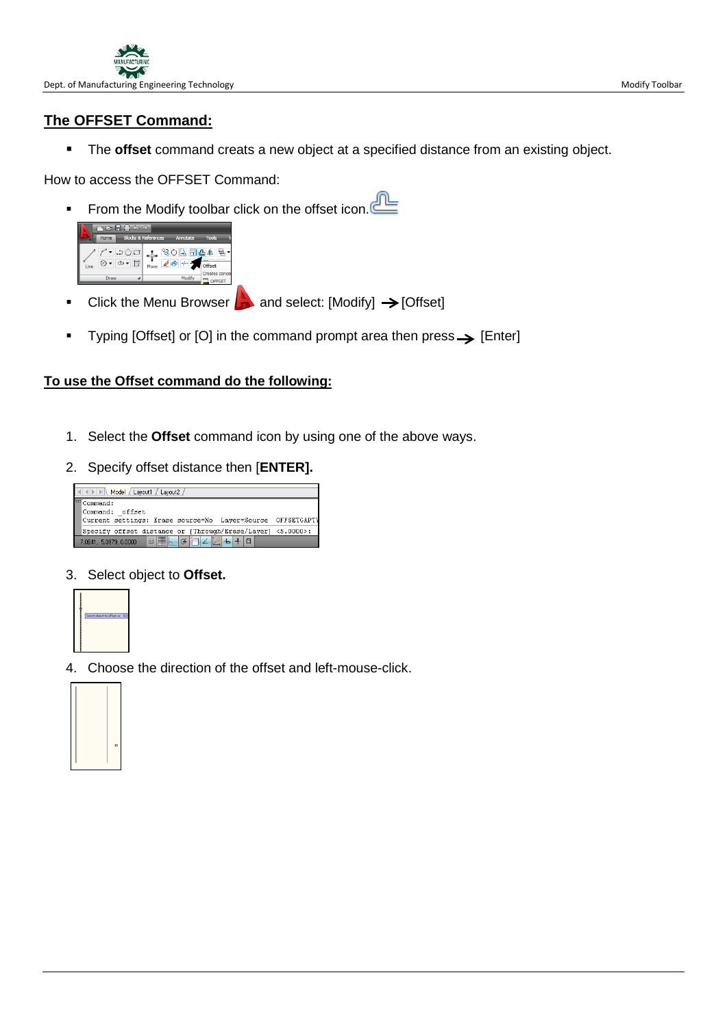## **The OFFSET Command:**

The **offset** command creats a new object at a specified distance from an existing object.

How to access the OFFSET Command:

From the Modify toolbar click on the offset icon.



- Click the Menu Browser  $\Box$  and select: [Modify]  $\rightarrow$  [Offset]
- Typing [Offset] or [O] in the command prompt area then press  $\rightarrow$  [Enter]

#### **To use the Offset command do the following:**

- 1. Select the **Offset** command icon by using one of the above ways.
- 2. Specify offset distance then [**ENTER].**



3. Select object to **Offset.**



4. Choose the direction of the offset and left-mouse-click.

| o |  |
|---|--|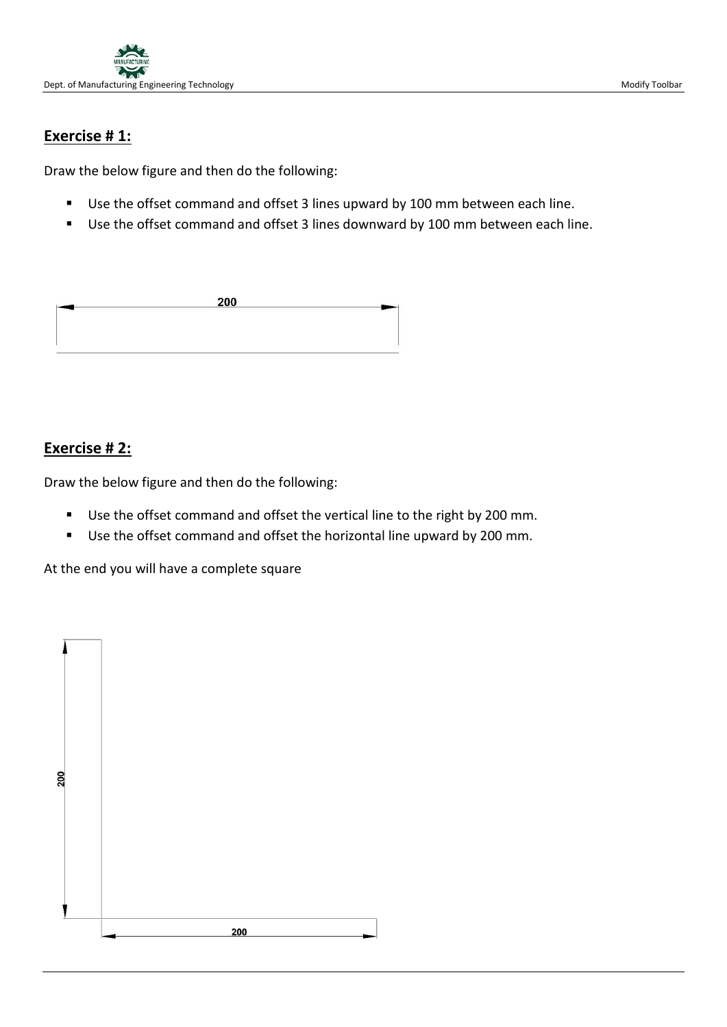

Draw the below figure and then do the following:

- Use the offset command and offset 3 lines upward by 100 mm between each line.
- Use the offset command and offset 3 lines downward by 100 mm between each line.

| 200 |  |
|-----|--|
|     |  |
|     |  |
|     |  |

# **Exercise # 2:**

Draw the below figure and then do the following:

- Use the offset command and offset the vertical line to the right by 200 mm.
- Use the offset command and offset the horizontal line upward by 200 mm.

At the end you will have a complete square

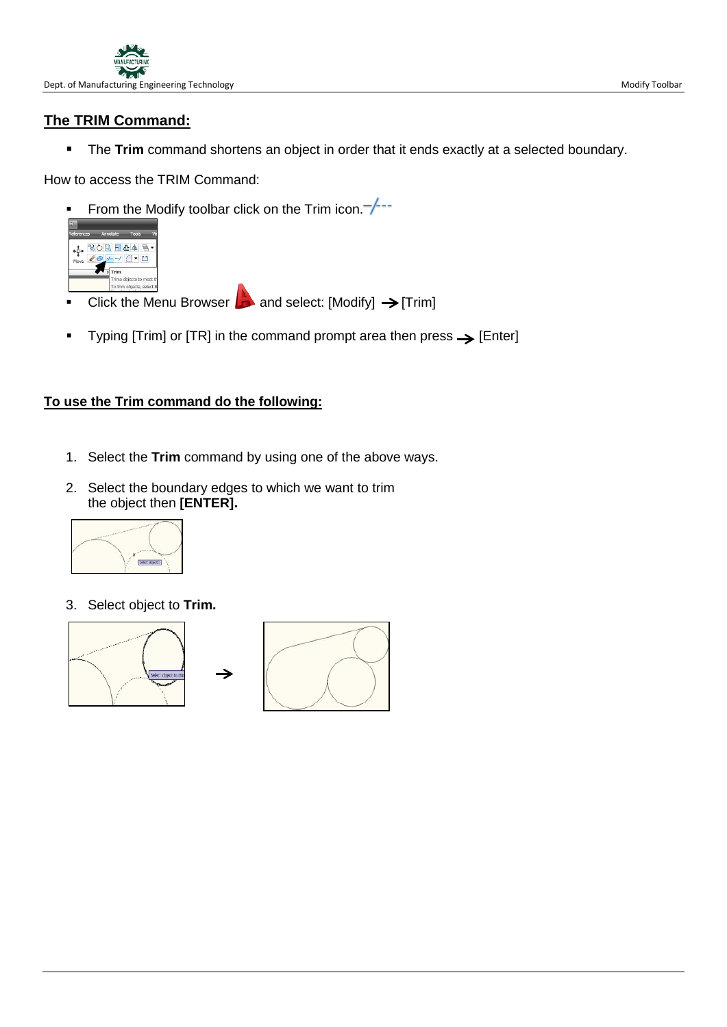## **The TRIM Command:**

**The Trim** command shortens an object in order that it ends exactly at a selected boundary.

How to access the TRIM Command:

From the Modify toolbar click on the Trim icon. $\frac{f}{f}$ 



- Click the Menu Browser  $\rightarrow$  and select: [Modify]  $\rightarrow$  [Trim]
- Typing [Trim] or [TR] in the command prompt area then press  $\rightarrow$  [Enter]

### **To use the Trim command do the following:**

- 1. Select the **Trim** command by using one of the above ways.
- 2. Select the boundary edges to which we want to trim the object then **[ENTER].**



3. Select object to **Trim.**

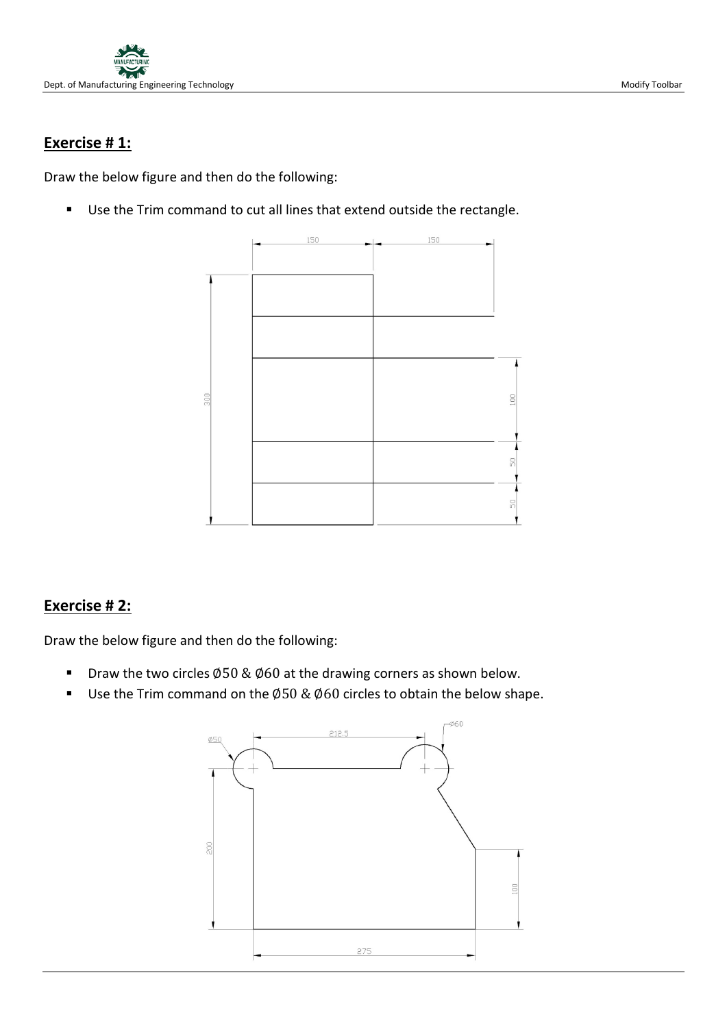

Draw the below figure and then do the following:

Use the Trim command to cut all lines that extend outside the rectangle.



# **Exercise # 2:**

Draw the below figure and then do the following:

- Draw the two circles  $\emptyset$ 50 &  $\emptyset$ 60 at the drawing corners as shown below.
- Use the Trim command on the Ø50 & Ø60 circles to obtain the below shape.

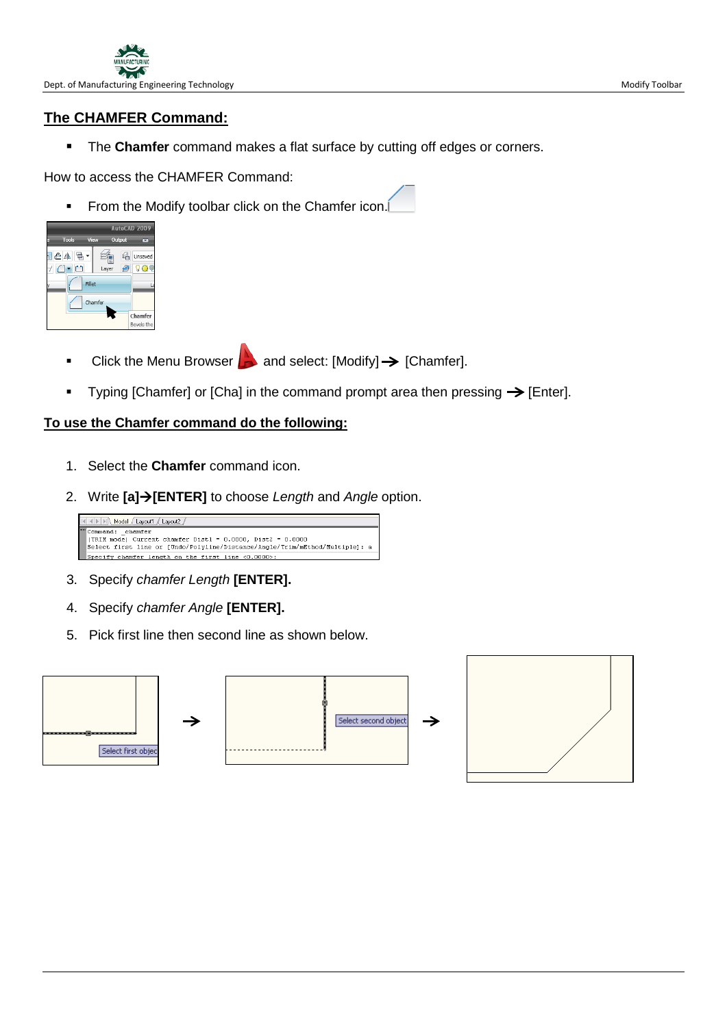

# **The CHAMFER Command:**

**The Chamfer** command makes a flat surface by cutting off edges or corners.

How to access the CHAMFER Command:

From the Modify toolbar click on the Chamfer icon.

|                            |      |       |        | AutoCAD 2009          |
|----------------------------|------|-------|--------|-----------------------|
| <b>Tools</b>               | View |       | Output | ⇁                     |
| de la de<br>$\blacksquare$ |      | Layer | 錳      | Unsaved               |
| Fillet<br>Chamfer          |      |       |        |                       |
|                            |      |       |        | Chamfer<br>Bevels the |

- Click the Menu Browser  $\Box$  and select:  $[Modify] \rightarrow [Chamfer]$ .
- Typing [Chamfer] or [Cha] in the command prompt area then pressing  $\rightarrow$  [Enter].

### **To use the Chamfer command do the following:**

- 1. Select the **Chamfer** command icon.
- 2. Write **[a][ENTER]** to choose *Length* and *Angle* option.



- 3.Specify *chamfer Length* **[ENTER].**
- 4.Specify *chamfer Angle* **[ENTER].**
- 5. Pick first line then second line as shown below.

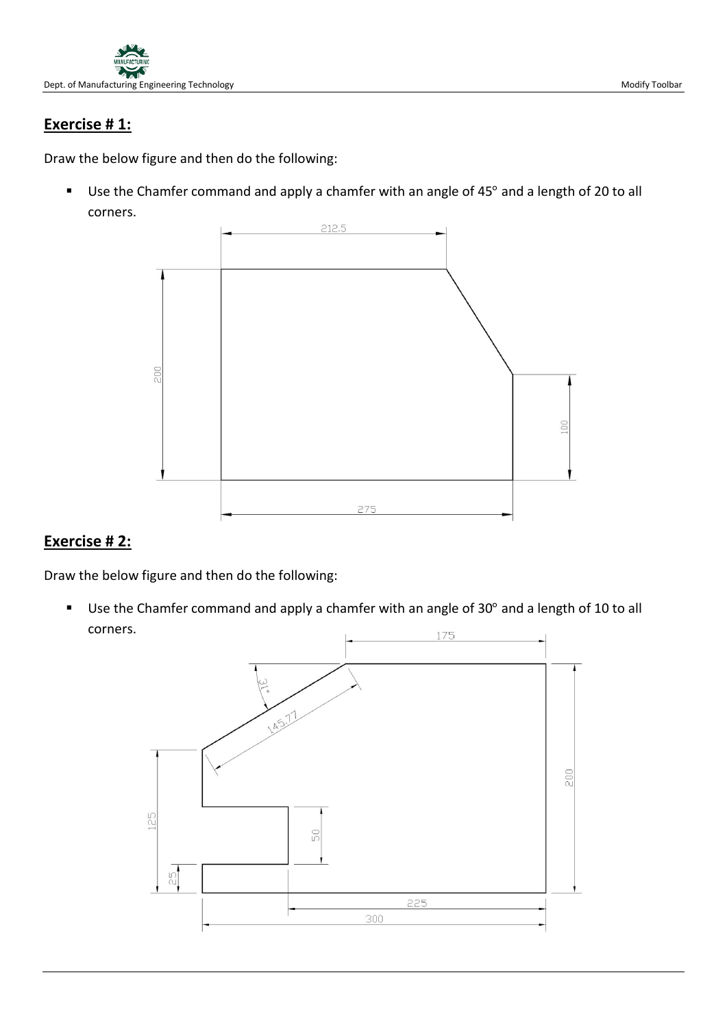

Draw the below figure and then do the following:

■ Use the Chamfer command and apply a chamfer with an angle of 45° and a length of 20 to all corners.



# **Exercise # 2:**

Draw the below figure and then do the following:

■ Use the Chamfer command and apply a chamfer with an angle of 30° and a length of 10 to all corners.

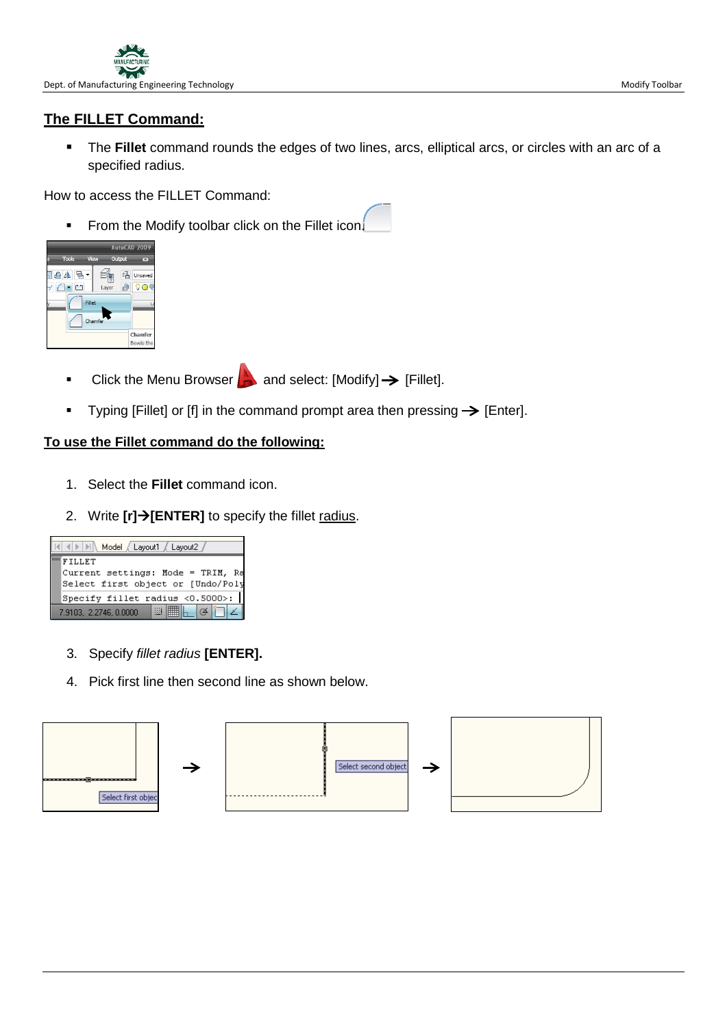

## **The FILLET Command:**

 The **Fillet** command rounds the edges of two lines, arcs, elliptical arcs, or circles with an arc of a specified radius.

How to access the FILLET Command:

From the Modify toolbar click on the Fillet icon.

|              |                   |            |        | AutoCAD 2009          |
|--------------|-------------------|------------|--------|-----------------------|
| <b>Tools</b> | View              |            | Output | ≂                     |
| 1445-<br>D   | Fillet<br>Chamfer | ę<br>Layer | 錉      | Unsaved               |
|              |                   |            |        | Chamfer<br>Bevels the |

- $\blacksquare$  Click the Menu Browser  $\blacksquare$  and select: [Modify]  $\rightarrow$  [Fillet].
- Typing [Fillet] or [f] in the command prompt area then pressing  $\rightarrow$  [Enter].

#### **To use the Fillet command do the following:**

- 1. Select the **Fillet** command icon.
- 2. Write  $[r] \rightarrow [ENTER]$  to specify the fillet radius.



- 3.Specify *fillet radius* **[ENTER].**
- 4. Pick first line then second line as shown below.

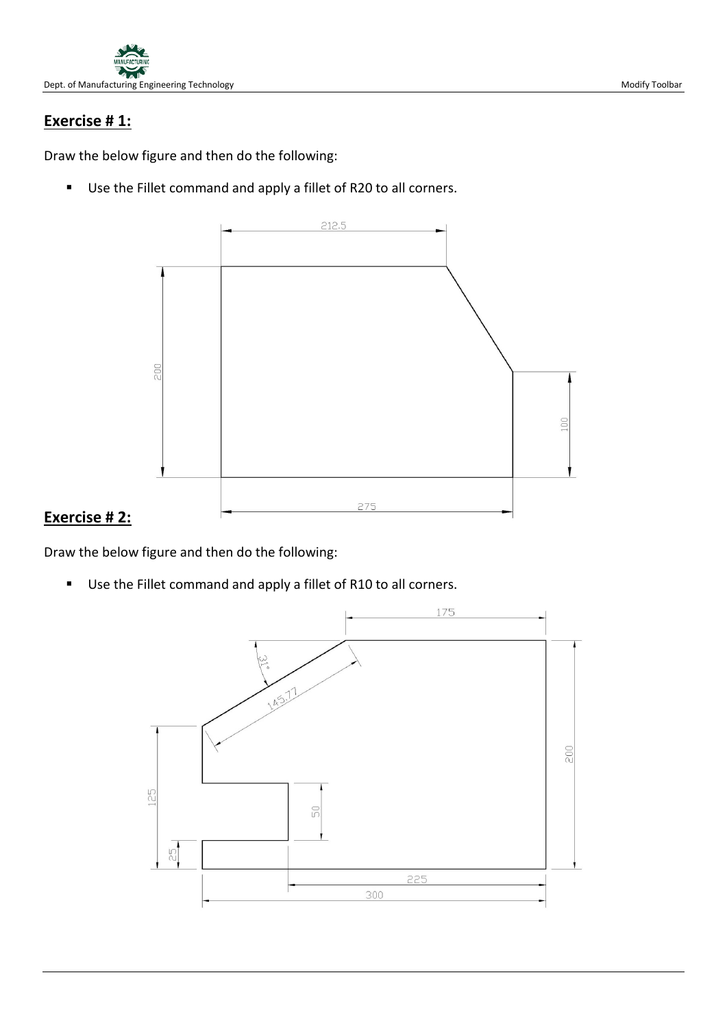

Draw the below figure and then do the following:

Use the Fillet command and apply a fillet of R20 to all corners.



# **Exercise # 2:**

Draw the below figure and then do the following:

Use the Fillet command and apply a fillet of R10 to all corners.

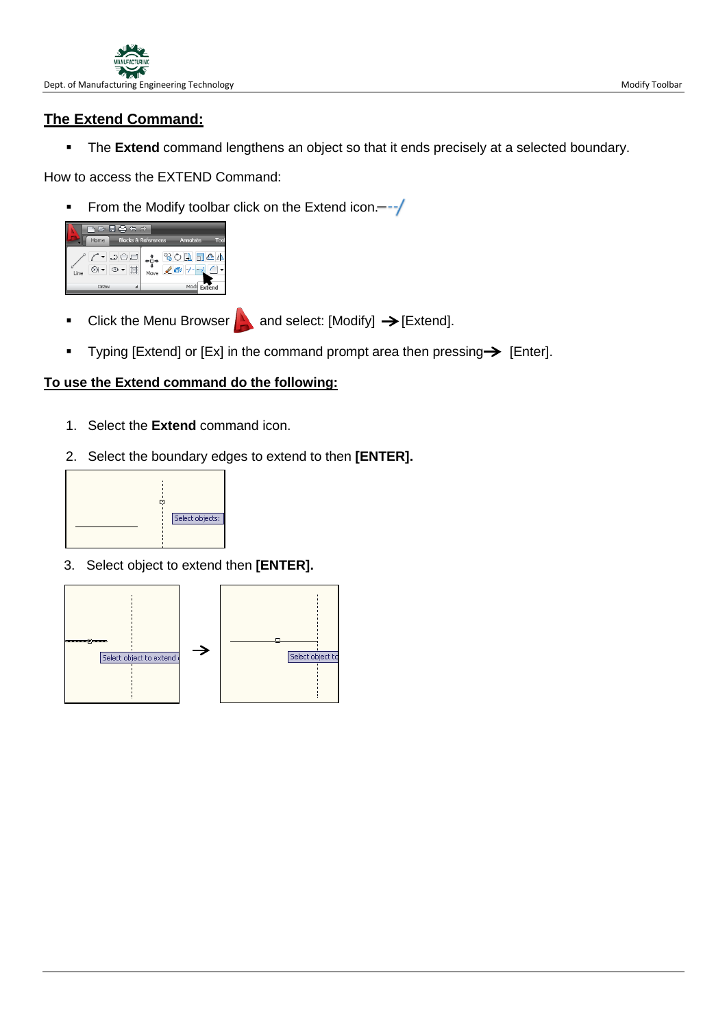## **The Extend Command:**

**The Extend** command lengthens an object so that it ends precisely at a selected boundary.

How to access the EXTEND Command:

From the Modify toolbar click on the Extend icon. $-\frac{1}{2}$ 



- **Click the Menu Browser A and select: [Modify]**  $\rightarrow$  **[Extend].**
- Typing [Extend] or [Ex] in the command prompt area then pressing $\rightarrow$  [Enter].

## **To use the Extend command do the following:**

- 1. Select the **Extend** command icon.
- 2. Select the boundary edges to extend to then **[ENTER].**



3. Select object to extend then **[ENTER].**

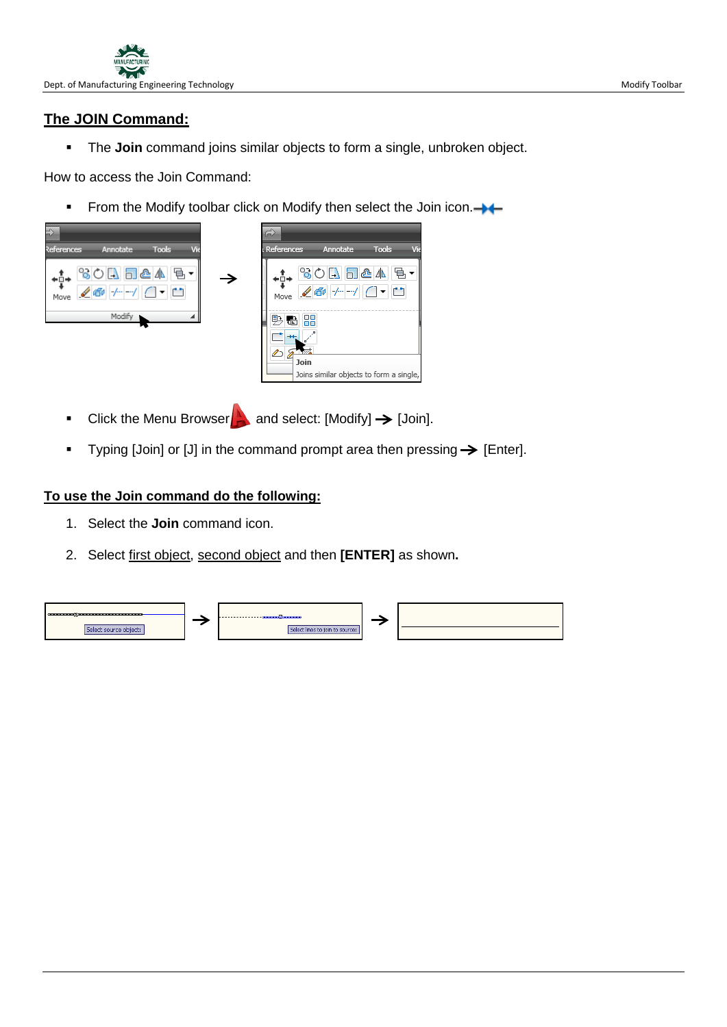

## **The JOIN Command:**

**The Join** command joins similar objects to form a single, unbroken object.

How to access the Join Command:

From the Modify toolbar click on Modify then select the Join icon. $\rightarrow$ 



- Click the Menu Browser and select:  $[Modify] \rightarrow [Join]$ .
- Typing  $[Join]$  or  $[J]$  in the command prompt area then pressing  $\rightarrow$  [Enter].

### **To use the Join command do the following:**

- 1. Select the **Join** command icon.
- 2. Select first object, second object and then **[ENTER]** as shown**.**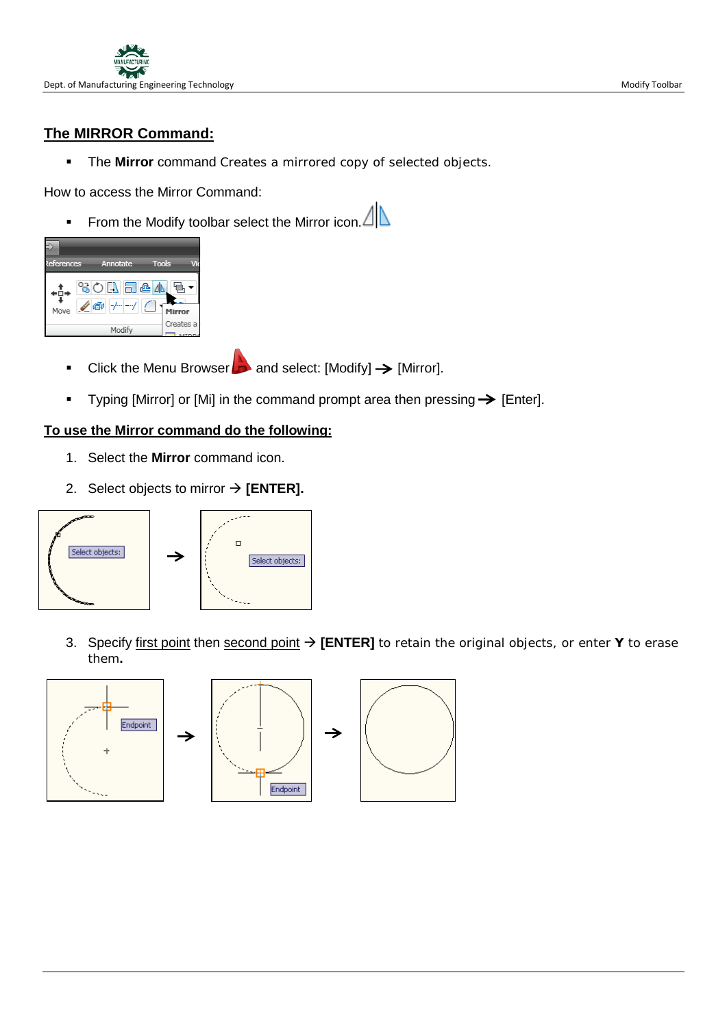

# **The MIRROR Command:**

**The Mirror** command Creates a mirrored copy of selected objects.

How to access the Mirror Command:

From the Modify toolbar select the Mirror icon.  $\Delta$ 



- Click the Menu Browser **a** and select: [Modify]  $\rightarrow$  [Mirror].
- Typing [Mirror] or [Mi] in the command prompt area then pressing  $\rightarrow$  [Enter].

## **To use the Mirror command do the following:**

- 1. Select the **Mirror** command icon.
- 2. Select objects to mirror  $\rightarrow$  [ENTER].



3. Specify first point then second point **[ENTER]** to retain the original objects, or enter **Y** to erase them**.**